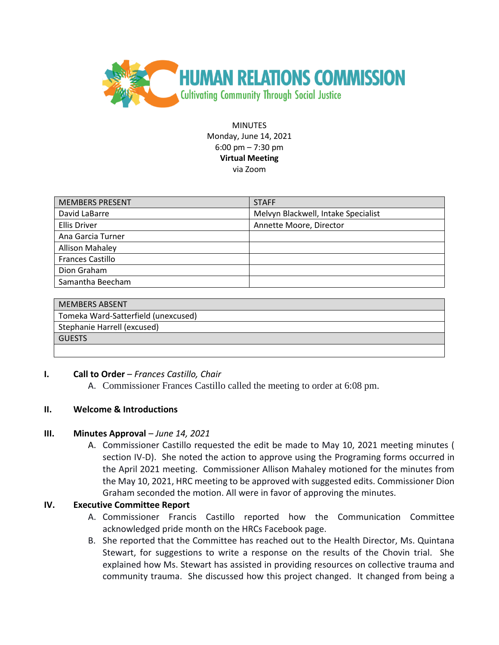

**MINUTES** Monday, June 14, 2021 6:00 pm – 7:30 pm **Virtual Meeting** via Zoom

| <b>MEMBERS PRESENT</b>  | <b>STAFF</b>                        |
|-------------------------|-------------------------------------|
| David LaBarre           | Melvyn Blackwell, Intake Specialist |
| <b>Ellis Driver</b>     | Annette Moore, Director             |
| Ana Garcia Turner       |                                     |
| <b>Allison Mahaley</b>  |                                     |
| <b>Frances Castillo</b> |                                     |
| Dion Graham             |                                     |
| Samantha Beecham        |                                     |

| <b>MEMBERS ABSENT</b>               |
|-------------------------------------|
| Tomeka Ward-Satterfield (unexcused) |
| Stephanie Harrell (excused)         |
| <b>GUESTS</b>                       |
|                                     |

### **I. Call to Order** – *Frances Castillo, Chair*

A. Commissioner Frances Castillo called the meeting to order at 6:08 pm.

### **II. Welcome & Introductions**

### **III.** Minutes Approval – *June 14, 2021*

A. Commissioner Castillo requested the edit be made to May 10, 2021 meeting minutes ( section IV-D). She noted the action to approve using the Programing forms occurred in the April 2021 meeting. Commissioner Allison Mahaley motioned for the minutes from the May 10, 2021, HRC meeting to be approved with suggested edits. Commissioner Dion Graham seconded the motion. All were in favor of approving the minutes.

### **IV. Executive Committee Report**

- A. Commissioner Francis Castillo reported how the Communication Committee acknowledged pride month on the HRCs Facebook page.
- B. She reported that the Committee has reached out to the Health Director, Ms. Quintana Stewart, for suggestions to write a response on the results of the Chovin trial. She explained how Ms. Stewart has assisted in providing resources on collective trauma and community trauma. She discussed how this project changed. It changed from being a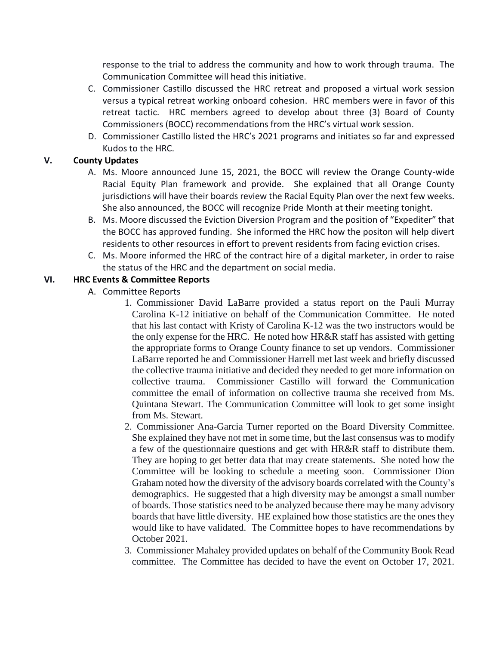response to the trial to address the community and how to work through trauma. The Communication Committee will head this initiative.

- C. Commissioner Castillo discussed the HRC retreat and proposed a virtual work session versus a typical retreat working onboard cohesion. HRC members were in favor of this retreat tactic. HRC members agreed to develop about three (3) Board of County Commissioners (BOCC) recommendations from the HRC's virtual work session.
- D. Commissioner Castillo listed the HRC's 2021 programs and initiates so far and expressed Kudos to the HRC.

## **V. County Updates**

- A. Ms. Moore announced June 15, 2021, the BOCC will review the Orange County-wide Racial Equity Plan framework and provide. She explained that all Orange County jurisdictions will have their boards review the Racial Equity Plan over the next few weeks. She also announced, the BOCC will recognize Pride Month at their meeting tonight.
- B. Ms. Moore discussed the Eviction Diversion Program and the position of "Expediter" that the BOCC has approved funding. She informed the HRC how the positon will help divert residents to other resources in effort to prevent residents from facing eviction crises.
- C. Ms. Moore informed the HRC of the contract hire of a digital marketer, in order to raise the status of the HRC and the department on social media.

# **VI. HRC Events & Committee Reports**

- A. Committee Reports
	- 1. Commissioner David LaBarre provided a status report on the Pauli Murray Carolina K-12 initiative on behalf of the Communication Committee. He noted that his last contact with Kristy of Carolina K-12 was the two instructors would be the only expense for the HRC. He noted how HR&R staff has assisted with getting the appropriate forms to Orange County finance to set up vendors. Commissioner LaBarre reported he and Commissioner Harrell met last week and briefly discussed the collective trauma initiative and decided they needed to get more information on collective trauma. Commissioner Castillo will forward the Communication committee the email of information on collective trauma she received from Ms. Quintana Stewart. The Communication Committee will look to get some insight from Ms. Stewart.
	- 2. Commissioner Ana-Garcia Turner reported on the Board Diversity Committee. She explained they have not met in some time, but the last consensus was to modify a few of the questionnaire questions and get with HR&R staff to distribute them. They are hoping to get better data that may create statements. She noted how the Committee will be looking to schedule a meeting soon. Commissioner Dion Graham noted how the diversity of the advisory boards correlated with the County's demographics. He suggested that a high diversity may be amongst a small number of boards. Those statistics need to be analyzed because there may be many advisory boards that have little diversity. HE explained how those statistics are the ones they would like to have validated. The Committee hopes to have recommendations by October 2021.
	- 3. Commissioner Mahaley provided updates on behalf of the Community Book Read committee. The Committee has decided to have the event on October 17, 2021.